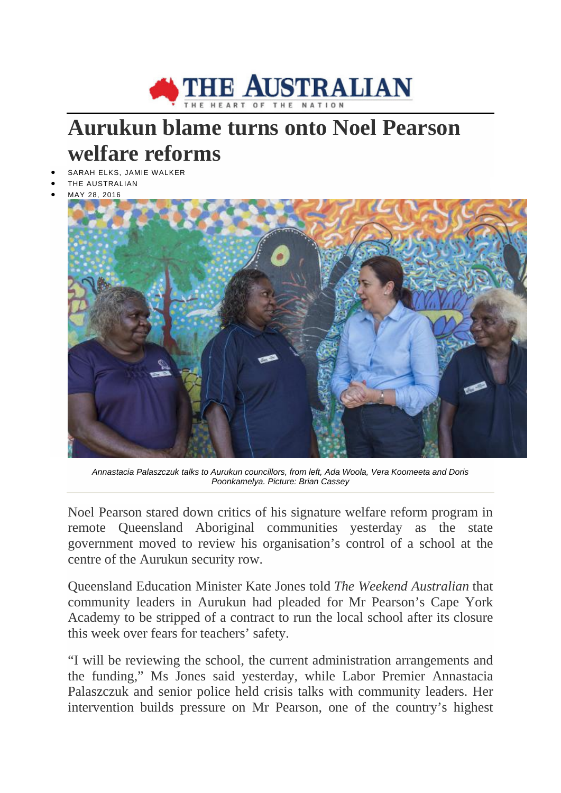

## **Aurukun blame turns onto Noel Pearson welfare reforms**

- SARAH ELKS, JAMIE WALKER
- THE AUSTRALIAN
- MAY 28, 2016



*Annastacia Palaszczuk talks to Aurukun councillors, from left, Ada Woola, Vera Koomeeta and Doris Poonkamelya. Picture: Brian Cassey*

Noel Pearson stared down critics of his signature welfare reform program in remote Queensland Aboriginal communities yesterday as the state government moved to review his organisation's control of a school at the centre of the Aurukun security row.

Queensland Education Minister Kate Jones told *The Weekend Australian* that community leaders in Aurukun had pleaded for Mr Pearson's Cape York Academy to be stripped of a contract to run the local school after its closure this week over fears for teachers' safety.

"I will be reviewing the school, the current administration arrangements and the funding," Ms Jones said yesterday, while Labor Premier Annastacia Palaszczuk and senior police held crisis talks with community leaders. Her intervention builds pressure on Mr Pearson, one of the country's highest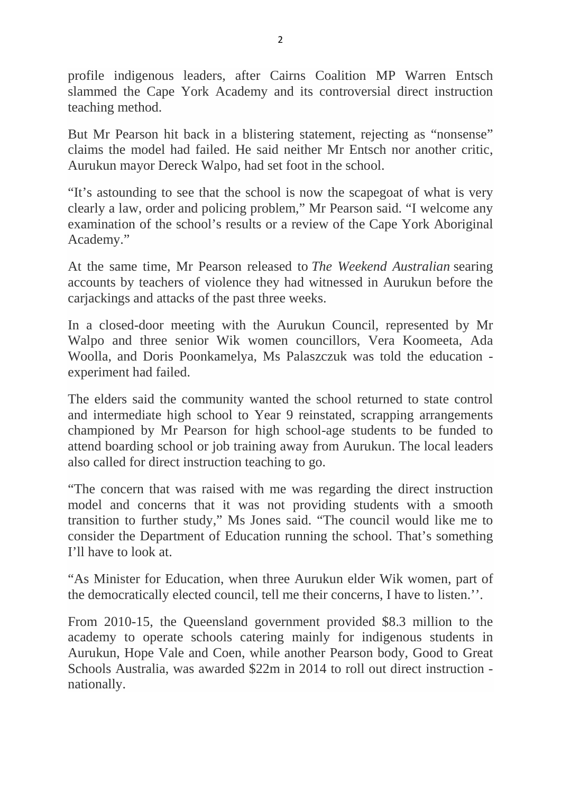profile indigenous leaders, after Cairns Coalition MP Warren Entsch slammed the Cape York Academy and its controversial direct instruction teaching method.

But Mr Pearson hit back in a blistering statement, rejecting as "nonsense" claims the model had failed. He said neither Mr Entsch nor another critic, Aurukun mayor Dereck Walpo, had set foot in the school.

"It's astounding to see that the school is now the scapegoat of what is very clearly a law, order and policing problem," Mr Pearson said. "I welcome any examination of the school's results or a review of the Cape York Aboriginal Academy."

At the same time, Mr Pearson released to *The Weekend Australian* searing accounts by teachers of violence they had witnessed in Aurukun before the carjackings and attacks of the past three weeks.

In a closed-door meeting with the Aurukun Council, represented by Mr Walpo and three senior Wik women councillors, Vera Koomeeta, Ada Woolla, and Doris Poonkamelya, Ms Palaszczuk was told the education experiment had failed.

The elders said the community wanted the school returned to state control and intermediate high school to Year 9 reinstated, scrapping arrangements championed by Mr Pearson for high school-age students to be funded to attend boarding school or job training away from Aurukun. The local leaders also called for direct instruction teaching to go.

"The concern that was raised with me was regarding the direct instruction model and concerns that it was not providing students with a smooth transition to further study," Ms Jones said. "The council would like me to consider the Department of Education running the school. That's something I'll have to look at.

"As Minister for Education, when three Aurukun elder Wik women, part of the democratically elected council, tell me their concerns, I have to listen.''.

From 2010-15, the Queensland government provided \$8.3 million to the academy to operate schools catering mainly for indigenous students in Aurukun, Hope Vale and Coen, while another Pearson body, Good to Great Schools Australia, was awarded \$22m in 2014 to roll out direct instruction nationally.